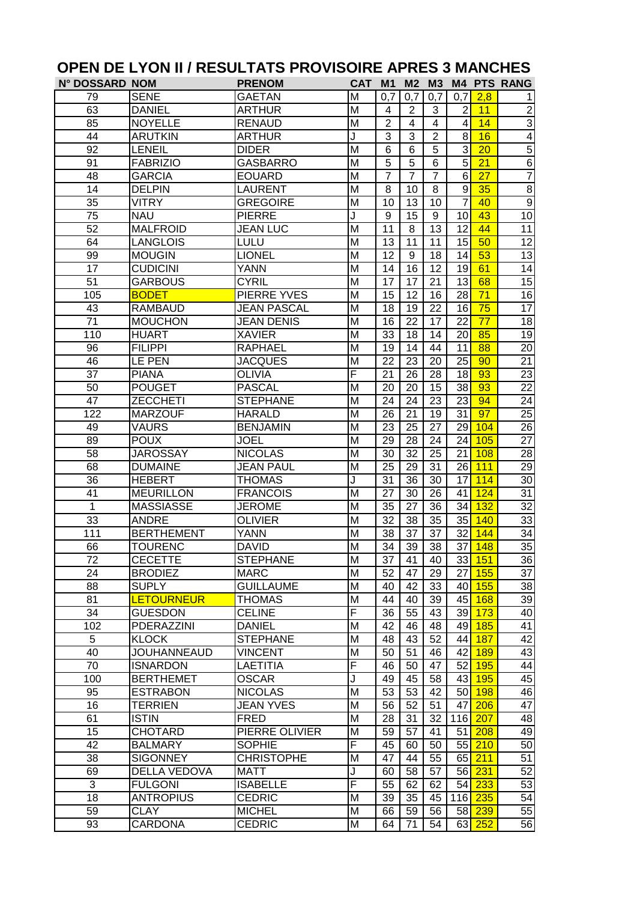|                       |                              | UFEN DE LIUN II / RESULIAIS FRUVISUIRE AFRES 3 MANUTES |                         |                 |                       |                 |                       |                     |                      |
|-----------------------|------------------------------|--------------------------------------------------------|-------------------------|-----------------|-----------------------|-----------------|-----------------------|---------------------|----------------------|
| <b>N° DOSSARD NOM</b> |                              | <b>PRENOM</b>                                          | <b>CAT</b>              | M <sub>1</sub>  | M <sub>2</sub>        | M3              |                       |                     | <b>M4 PTS RANG</b>   |
| 79                    | <b>SENE</b><br><b>DANIEL</b> | <b>GAETAN</b>                                          | M<br>M                  | 0,7<br>4        | 0,7<br>$\overline{2}$ | 0,7<br>3        | 0,7<br>$\overline{2}$ | 2,8<br>11           | 1.<br>$\overline{2}$ |
| 63                    |                              | <b>ARTHUR</b>                                          |                         | $\overline{2}$  |                       | $\overline{4}$  |                       |                     |                      |
| 85                    | <b>NOYELLE</b>               | <b>RENAUD</b>                                          | M                       |                 | $\overline{4}$        |                 | 4                     | 14                  | $\overline{3}$       |
| 44                    | <b>ARUTKIN</b>               | <b>ARTHUR</b>                                          | J                       | 3               | 3                     | $\overline{2}$  | 8                     | 16                  | $\overline{4}$       |
| 92                    | <b>LENEIL</b>                | <b>DIDER</b>                                           | M                       | 6               | 6                     | 5               | 3                     | 20                  | $\overline{5}$       |
| 91                    | <b>FABRIZIO</b>              | <b>GASBARRO</b>                                        | M                       | $\overline{5}$  | 5                     | 6               | 5                     | $\overline{21}$     | $\overline{6}$       |
| 48                    | <b>GARCIA</b>                | <b>EOUARD</b>                                          | M                       | $\overline{7}$  | $\overline{7}$        | $\overline{7}$  | 6                     | $\overline{27}$     | $\overline{7}$       |
| 14                    | <b>DELPIN</b>                | <b>LAURENT</b>                                         | M                       | 8               | 10                    | 8               | 9                     | 35                  | $\overline{8}$       |
| 35                    | <b>VITRY</b>                 | <b>GREGOIRE</b>                                        | M                       | 10              | 13                    | 10              | $\overline{7}$        | 40                  | $\overline{9}$       |
| 75                    | <b>NAU</b>                   | <b>PIERRE</b>                                          | J                       | 9               | 15                    | 9               | 10                    | 43                  | 10                   |
| $\overline{52}$       | <b>MALFROID</b>              | <b>JEAN LUC</b>                                        | $\overline{\mathsf{M}}$ | $\overline{11}$ | 8                     | $\overline{13}$ | 12                    | 44                  | $\overline{11}$      |
| 64                    | <b>LANGLOIS</b>              | LULU                                                   | M                       | 13              | 11                    | 11              | 15                    | 50                  | $\overline{12}$      |
| 99                    | <b>MOUGIN</b>                | <b>LIONEL</b>                                          | M                       | 12              | 9                     | 18              | 14                    | 53                  | $\overline{13}$      |
| 17                    | <b>CUDICINI</b>              | <b>YANN</b>                                            | M                       | 14              | 16                    | 12              | 19                    | 61                  | 14                   |
| 51                    | <b>GARBOUS</b>               | <b>CYRIL</b>                                           | M                       | 17              | 17                    | 21              | 13                    | 68                  | 15                   |
| 105                   | <b>BODET</b>                 | PIERRE YVES                                            | M                       | 15              | 12                    | 16              | 28                    | 71                  | 16                   |
| 43                    | <b>RAMBAUD</b>               | <b>JEAN PASCAL</b>                                     | M                       | 18              | 19                    | 22              | 16                    | 75                  | 17                   |
| 71                    | <b>MOUCHON</b>               | <b>JEAN DENIS</b>                                      | M                       | 16              | 22                    | 17              | 22                    | 77                  | $\overline{18}$      |
| 110                   | <b>HUART</b>                 | <b>XAVIER</b>                                          | M                       | 33              | 18                    | 14              | 20                    | 85                  | $\overline{19}$      |
| 96                    | <b>FILIPPI</b>               | <b>RAPHAEL</b>                                         | M                       | 19              | 14                    | 44              | 11                    | 88                  | $\overline{20}$      |
| 46                    | <b>LE PEN</b>                | <b>JACQUES</b>                                         | $\overline{\mathsf{M}}$ | 22              | 23                    | 20              | 25                    | 90                  | $\overline{21}$      |
| 37                    | <b>PIANA</b>                 | <b>OLIVIA</b>                                          | F                       | 21              | 26                    | 28              | 18                    | $\overline{93}$     | 23                   |
| 50                    | <b>POUGET</b>                | <b>PASCAL</b>                                          | M                       | 20              | $\overline{20}$       | 15              | $\overline{38}$       | 93                  | $\overline{22}$      |
| $\overline{47}$       | <b>ZECCHETI</b>              | <b>STEPHANE</b>                                        | M                       | $\overline{24}$ | $\overline{24}$       | $\overline{23}$ | $\overline{23}$       | 94                  | $\overline{24}$      |
| 122                   | <b>MARZOUF</b>               | <b>HARALD</b>                                          | M                       | 26              | $\overline{21}$       | 19              | $\overline{31}$       | $\overline{97}$     | $\overline{25}$      |
| 49                    | <b>VAURS</b>                 | <b>BENJAMIN</b>                                        | M                       | 23              | 25                    | 27              | 29                    | 104                 | 26                   |
| 89                    | <b>POUX</b>                  | <b>JOEL</b>                                            | $\overline{\mathsf{M}}$ | 29              | 28                    | 24              | 24                    | 105                 | $\overline{27}$      |
| $\overline{58}$       | <b>JAROSSAY</b>              | <b>NICOLAS</b>                                         | M                       | 30              | 32                    | 25              | 21                    | 108                 | $\overline{28}$      |
| 68                    | <b>DUMAINE</b>               | <b>JEAN PAUL</b>                                       | M                       | 25              | 29                    | 31              | 26                    | 111                 | $\overline{29}$      |
| 36                    | <b>HEBERT</b>                | <b>THOMAS</b>                                          | J                       | 31              | 36                    | 30              | 17                    | 114                 | $\overline{30}$      |
| 41                    | <b>MEURILLON</b>             | <b>FRANCOIS</b>                                        | M                       | 27              | 30                    | 26              | 41                    | 124                 | $\overline{31}$      |
| 1                     | <b>MASSIASSE</b>             | <b>JEROME</b>                                          | M                       | 35              | 27                    | 36              | 34                    | 132                 | $\overline{32}$      |
| 33                    | <b>ANDRE</b>                 | <b>OLIVIER</b>                                         | M                       | 32              | 38                    | 35              | 35                    | 140                 | 33                   |
| 111                   | <b>BERTHEMENT</b>            | <b>YANN</b>                                            | M                       | 38              | 37                    | 37              | 32                    | 144                 | $\overline{34}$      |
| 66                    | <b>TOURENC</b>               | <b>DAVID</b>                                           | M                       | 34              | 39                    | 38              |                       | $37 \frac{148}{ }$  | 35                   |
| 72                    | <b>CECETTE</b>               | <b>STEPHANE</b>                                        | M                       | 37              | 41                    | 40              |                       | 33 151              | 36                   |
| 24                    | <b>BRODIEZ</b>               | <b>MARC</b>                                            | M                       | 52              | 47                    | 29              | 27                    | <b>155</b>          | 37                   |
| 88                    | <b>SUPLY</b>                 | <b>GUILLAUME</b>                                       | M                       | 40              | 42                    | 33              |                       | 40 <sup>155</sup>   | $\overline{38}$      |
| 81                    | <b>LETOURNEUR</b>            | <b>THOMAS</b>                                          | M                       | 44              | 40                    | 39              |                       | 45 <sup>168</sup>   | 39                   |
| 34                    | <b>GUESDON</b>               | <b>CELINE</b>                                          | F                       | 36              | 55                    | 43              |                       | 39 173              | 40                   |
| 102                   | PDERAZZINI                   | <b>DANIEL</b>                                          | M                       | 42              | 46                    | 48              | 49                    | <b>185</b>          | $\overline{41}$      |
| 5                     | <b>KLOCK</b>                 | <b>STEPHANE</b>                                        | M                       | 48              | 43                    | 52              | 44                    | 187                 | 42                   |
| 40                    | JOUHANNEAUD                  | <b>VINCENT</b>                                         | M                       | 50              | 51                    | 46              | 42                    | <b>189</b>          | 43                   |
| 70                    | <b>ISNARDON</b>              | <b>LAETITIA</b>                                        | F                       | 46              | 50                    | 47              | 52                    | 195                 | $\overline{44}$      |
| 100                   | <b>BERTHEMET</b>             | <b>OSCAR</b>                                           | J                       | 49              | 45                    | 58              |                       | 43 <mark>195</mark> | 45                   |
| 95                    | <b>ESTRABON</b>              | <b>NICOLAS</b>                                         | M                       | 53              | 53                    | 42              |                       | $50$ 198            | 46                   |
| 16                    | <b>TERRIEN</b>               | <b>JEAN YVES</b>                                       | M                       | 56              | 52                    | 51              | 47                    | 206                 | 47                   |
| 61                    | <b>ISTIN</b>                 | <b>FRED</b>                                            | M                       | 28              | 31                    | 32              |                       | 116 207             | 48                   |
| 15                    | <b>CHOTARD</b>               | PIERRE OLIVIER                                         | M                       | 59              | 57                    | 41              | 51                    | 208                 | 49                   |
| 42                    | <b>BALMARY</b>               | <b>SOPHIE</b>                                          | F                       | 45              | 60                    | 50              |                       | 55 210              | 50                   |
| 38                    | <b>SIGONNEY</b>              | <b>CHRISTOPHE</b>                                      | M                       | 47              | 44                    | 55              |                       | 65 211              | 51                   |
| 69                    | DELLA VEDOVA                 | <b>MATT</b>                                            | J                       | 60              | 58                    | 57              |                       | 56 231              | 52                   |
| $\sqrt{3}$            | <b>FULGONI</b>               | <b>ISABELLE</b>                                        | F                       |                 | 62                    | 62              |                       | 54 233              | 53                   |
| 18                    | <b>ANTROPIUS</b>             | <b>CEDRIC</b>                                          | M                       | 55              | 35                    |                 |                       | 235                 | 54                   |
|                       |                              | <b>MICHEL</b>                                          |                         | 39              | 59                    | 45              | 116                   | 58 239              |                      |
| 59                    | CLAY                         |                                                        | M                       | 66              |                       | 56              |                       |                     | 55                   |
| 93                    | <b>CARDONA</b>               | <b>CEDRIC</b>                                          | M                       | 64              | 71                    | 54              |                       | 63 252              | 56                   |

## **OPEN DE LYON II / RESULTATS PROVISOIRE APRES 3 MANCHES**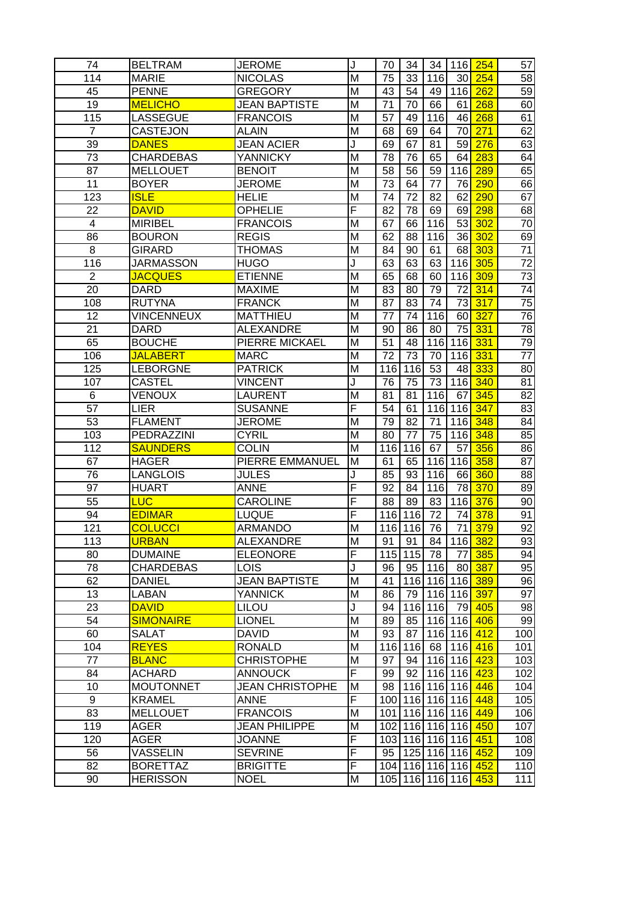| 74               | <b>BELTRAM</b>    | <b>JEROME</b>          | J  | 70              | 34              | 34              |                 | 116 254 | 57              |
|------------------|-------------------|------------------------|----|-----------------|-----------------|-----------------|-----------------|---------|-----------------|
| 114              | <b>MARIE</b>      | <b>NICOLAS</b>         | M  | 75              | 33              | 116             | 30 <sup>°</sup> | 254     | 58              |
| 45               | <b>PENNE</b>      | <b>GREGORY</b>         | M  | 43              | 54              | 49              | 116             | 262     | $\overline{59}$ |
| 19               | <b>MELICHO</b>    | <b>JEAN BAPTISTE</b>   | M  | 71              | 70              | 66              | 61              | 268     | 60              |
| 115              | <b>LASSEGUE</b>   | <b>FRANCOIS</b>        | M  | 57              | 49              | 116             | 46              | 268     | 61              |
| 7                | <b>CASTEJON</b>   | <b>ALAIN</b>           | M  | 68              | 69              | 64              | 70              | 271     | 62              |
| $\overline{39}$  | <b>DANES</b>      | <b>JEAN ACIER</b>      | J  | 69              | 67              | 81              | 59              | 276     | 63              |
| 73               | <b>CHARDEBAS</b>  | <b>YANNICKY</b>        | M  | 78              | 76              | 65              | 64              | 283     | 64              |
| 87               | <b>MELLOUET</b>   | <b>BENOIT</b>          | M  | 58              | 56              | 59              | 116             | 289     | 65              |
| 11               | <b>BOYER</b>      | <b>JEROME</b>          | M  | 73              | 64              | 77              | 76              | 290     | 66              |
| $\overline{123}$ | <b>ISLE</b>       | <b>HELIE</b>           | M  | $\overline{74}$ | $\overline{72}$ | $\overline{82}$ | 62              | 290     | 67              |
| $\overline{22}$  | <b>DAVID</b>      | <b>OPHELIE</b>         | F  | $\overline{82}$ | $\overline{78}$ | 69              | 69              | 298     | 68              |
| 4                | <b>MIRIBEL</b>    | <b>FRANCOIS</b>        | M  | 67              | 66              | 116             | 53              | 302     | 70              |
| 86               | <b>BOURON</b>     | <b>REGIS</b>           | M  | 62              | 88              | 116             | 36              | 302     | 69              |
| 8                | <b>GIRARD</b>     | <b>THOMAS</b>          | M  | 84              | 90              | 61              | 68              | 303     | 71              |
| 116              | <b>JARMASSON</b>  | <b>HUGO</b>            | J  | 63              | 63              | 63              | 116             | 305     | $\overline{72}$ |
| $\overline{2}$   | <b>JACQUES</b>    | <b>ETIENNE</b>         | M  | 65              | 68              | 60              | 116             | 309     | $\overline{73}$ |
| 20               | <b>DARD</b>       | <b>MAXIME</b>          | M  | 83              | 80              | 79              | 72              | 314     | $\overline{74}$ |
| 108              | <b>RUTYNA</b>     | <b>FRANCK</b>          | M  | 87              | 83              | 74              | 73              | 317     | $\overline{75}$ |
| $\overline{12}$  | <b>VINCENNEUX</b> | <b>MATTHIEU</b>        | M  | 77              | 74              | 116             | 60              | 327     | 76              |
| 21               | <b>DARD</b>       | <b>ALEXANDRE</b>       | M  | 90              | 86              | 80              | 75              | 331     | 78              |
| 65               | <b>BOUCHE</b>     | PIERRE MICKAEL         | M  | 51              | 48              | 116             | 116             | 331     | 79              |
| 106              | <b>JALABERT</b>   | <b>MARC</b>            | M  | 72              | 73              | 70              | 116             | 331     | 77              |
| 125              | <b>LEBORGNE</b>   | <b>PATRICK</b>         | M  | 116             | 116             | 53              | 48              | 333     | 80              |
| 107              | <b>CASTEL</b>     | <b>VINCENT</b>         | J  | 76              | 75              | 73              | 116             | 340     | 81              |
| 6                | VENOUX            | LAURENT                | M  | 81              | 81              | 116             | 67              | 345     | $\overline{82}$ |
| 57               | LIER              | <b>SUSANNE</b>         | F  | 54              | 61              | 116             | 116             | 347     | 83              |
| $\overline{53}$  | <b>FLAMENT</b>    | <b>JEROME</b>          | M  | 79              | 82              | 71              | 116             | 348     | 84              |
| 103              | PEDRAZZINI        | <b>CYRIL</b>           | M  | 80              | 77              | 75              | 116             | 348     | 85              |
| 112              | <b>SAUNDERS</b>   | <b>COLIN</b>           | M  | 116             | 116             | 67              | 57              | 356     | 86              |
| 67               | <b>HAGER</b>      | PIERRE EMMANUEL        | M  | 61              | 65              | 116             | 116             | 358     | 87              |
| 76               | <b>LANGLOIS</b>   | <b>JULES</b>           | J  | 85              | 93              | 116             | 66              | 360     | 88              |
| 97               | <b>HUART</b>      | <b>ANNE</b>            | F  | 92              | 84              | 116             | 78              | 370     | 89              |
| 55               | <b>LUC</b>        | <b>CAROLINE</b>        | F  | 88              | 89              | 83              | 116             | 376     | 90              |
| 94               | <b>EDIMAR</b>     | LUQUE                  | F  |                 | 116 116         | 72              | 74              | 378     | 91              |
| 121              | <b>COLUCCI</b>    | <b>ARMANDO</b>         | M  |                 | 116 116         | 76              | 71              | 379     | 92              |
| 113              | <b>URBAN</b>      | ALEXANDRE              | ΙM | 91              | 91              | 84 I            |                 | 116 382 | 93              |
| 80               | <b>DUMAINE</b>    | <b>ELEONORE</b>        | F  |                 | 115 115         | 78              | 77              | 385     | 94              |
| 78               | <b>CHARDEBAS</b>  | <b>LOIS</b>            | J  | 96              | 95              | 116             | 80              | 387     | 95              |
| 62               | <b>DANIEL</b>     | <b>JEAN BAPTISTE</b>   | M  | 41              |                 |                 | 116 116 116     | 389     | 96              |
| 13               | <b>LABAN</b>      | <b>YANNICK</b>         | M  | 86              | 79              | 116             | 116             | 397     | 97              |
| 23               | <b>DAVID</b>      | <b>LILOU</b>           | J  | 94              | 116             | 116             | 79              | 405     | 98              |
| 54               | <b>SIMONAIRE</b>  | <b>LIONEL</b>          | M  | 89              | 85              | 116             | 116             | 406     | 99              |
| 60               | <b>SALAT</b>      | <b>DAVID</b>           | M  | 93              | 87              | 116             | 116             | 412     | 100             |
| 104              | <b>REYES</b>      | <b>RONALD</b>          | M  |                 | 116 116         | 68              | 116             | 416     | 101             |
| 77               | <b>BLANC</b>      | <b>CHRISTOPHE</b>      | M  | 97              | 94              | 116             | 116             | 423     | 103             |
| 84               | <b>ACHARD</b>     | <b>ANNOUCK</b>         | F  | 99              | 92              | 116             | 116             | 423     | 102             |
| 10               | <b>MOUTONNET</b>  | <b>JEAN CHRISTOPHE</b> | M  | 98              |                 | 116 116         | 116             | 446     | 104             |
| $\overline{9}$   | <b>KRAMEL</b>     | <b>ANNE</b>            | F  |                 |                 | 100 116 116     | 116             | 448     | 105             |
| 83               | <b>MELLOUET</b>   | <b>FRANCOIS</b>        | M  | 101             |                 | 116 116         | 116             | 449     | 106             |
| 119              | <b>AGER</b>       | <b>JEAN PHILIPPE</b>   | M  | 102             |                 | 116 116         | 116             | 450     | 107             |
| 120              | AGER              | <b>JOANNE</b>          | F  |                 |                 | 103 116 116     | 116             | 451     | 108             |
| 56               | <b>VASSELIN</b>   | <b>SEVRINE</b>         | F  | 95              |                 | 125 116         | 116             | 452     | 109             |
| 82               | <b>BORETTAZ</b>   | <b>BRIGITTE</b>        | F  |                 |                 |                 | 104 116 116 116 | 452     | 110             |
| 90               | <b>HERISSON</b>   | <b>NOEL</b>            | M  | 105             |                 | 116 116         | 116             | 453     | 111             |